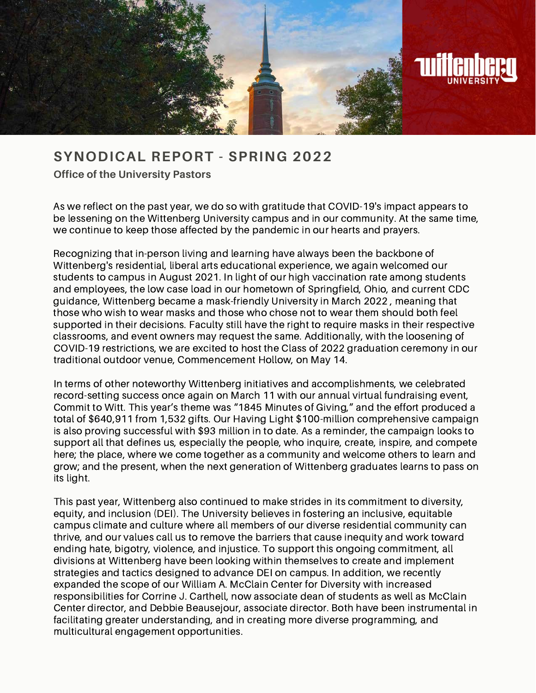

## **S Y N O D I C A L R E P O R T - S P R I N G 2 0 2 2**

**Office of the University Pastors**

As we reflect on the past year, we do so with gratitude that COVID-19's impact appears to be lessening on the Wittenberg University campus and in our community. At the same time, we continue to keep those affected by the pandemic in our hearts and prayers.

Recognizing that in-person living and learning have always been the backbone of Wittenberg's residential, liberal arts educational experience, we again welcomed our students to campus in August 2021. In light of our high vaccination rate among students and employees, the low case load in our hometown of Springfield, Ohio, and current CDC guidance, Wittenberg became a mask-friendly University in March 2022 , meaning that those who wish to wear masks and those who chose not to wear them should both feel supported in their decisions. Faculty still have the right to require masks in their respective classrooms, and event owners may request the same. Additionally, with the loosening of COVID-19 restrictions, we are excited to host the Class of 2022 graduation ceremony in our traditional outdoor venue, Commencement Hollow, on May 14.

In terms of other noteworthy Wittenberg initiatives and accomplishments, we celebrated record-setting success once again on March 11 with our annual virtual fundraising event, Commit to Witt. This year's theme was "1845 Minutes of Giving," and the effort produced a total of \$640,911 from 1,532 gifts. Our Having Light \$100-million comprehensive campaign is also proving successful with \$93 million in to date. As a reminder, the campaign looks to support all that defines us, especially the people, who inquire, create, inspire, and compete here; the place, where we come together as a community and welcome others to learn and grow; and the present, when the next generation of Wittenberg graduates learns to pass on its light.

This past year, Wittenberg also continued to make strides in its commitment to diversity, equity, and inclusion (DEI). The University believes in fostering an inclusive, equitable campus climate and culture where all members of our diverse residential community can thrive, and our values call us to remove the barriers that cause inequity and work toward ending hate, bigotry, violence, and injustice. To support this ongoing commitment, all divisions at Wittenberg have been looking within themselves to create and implement strategies and tactics designed to advance DEI on campus. In addition, we recently expanded the scope of our William A. McClain Center for Diversity with increased responsibilities for Corrine J. Carthell, now associate dean of students as well as McClain Center director, and Debbie Beausejour, associate director. Both have been instrumental in facilitating greater understanding, and in creating more diverse programming, and multicultural engagement opportunities.